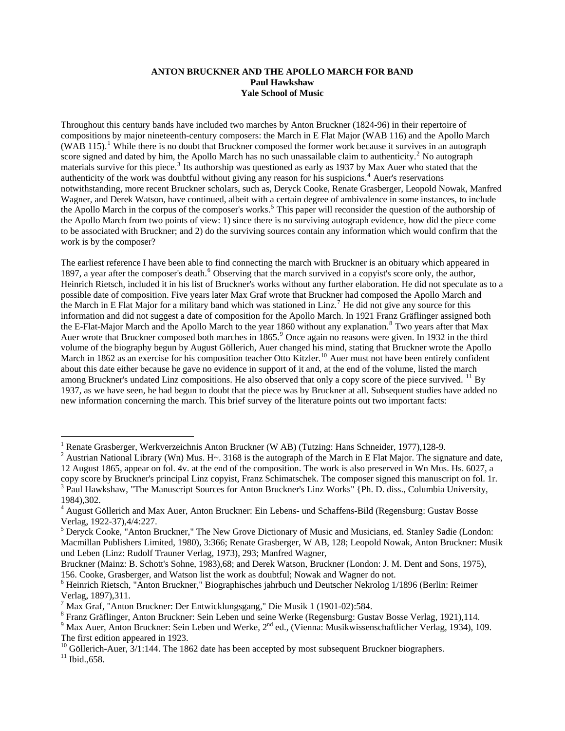## **ANTON BRUCKNER AND THE APOLLO MARCH FOR BAND Paul Hawkshaw Yale School of Music**

Throughout this century bands have included two marches by Anton Bruckner (1824-96) in their repertoire of compositions by major nineteenth-century composers: the March in E Flat Major (WAB 116) and the Apollo March  $(WAB 115)$  $(WAB 115)$  $(WAB 115)$ .<sup>1</sup> While there is no doubt that Bruckner composed the former work because it survives in an autograph score signed and dated by him, the Apollo March has no such unassailable claim to authenticity.<sup>[2](#page-0-1)</sup> No autograph materials survive for this piece.<sup>[3](#page-0-2)</sup> Its authorship was questioned as early as 1937 by Max Auer who stated that the authenticity of the work was doubtful without giving any reason for his suspicions.<sup>[4](#page-0-3)</sup> Auer's reservations notwithstanding, more recent Bruckner scholars, such as, Deryck Cooke, Renate Grasberger, Leopold Nowak, Manfred Wagner, and Derek Watson, have continued, albeit with a certain degree of ambivalence in some instances, to include the Apollo March in the corpus of the composer's works.<sup>[5](#page-0-4)</sup> This paper will reconsider the question of the authorship of the Apollo March from two points of view: 1) since there is no surviving autograph evidence, how did the piece come to be associated with Bruckner; and 2) do the surviving sources contain any information which would confirm that the work is by the composer?

The earliest reference I have been able to find connecting the march with Bruckner is an obituary which appeared in 1897, a year after the composer's death.<sup>[6](#page-0-5)</sup> Observing that the march survived in a copyist's score only, the author, Heinrich Rietsch, included it in his list of Bruckner's works without any further elaboration. He did not speculate as to a possible date of composition. Five years later Max Graf wrote that Bruckner had composed the Apollo March and the March in E Flat Major for a military band which was stationed in Linz.<sup>[7](#page-0-6)</sup> He did not give any source for this information and did not suggest a date of composition for the Apollo March. In 1921 Franz Gräflinger assigned both the E-Flat-Major March and the Apollo March to the year 1[8](#page-0-7)60 without any explanation.<sup>8</sup> Two years after that Max Auer wrote that Bruckner composed both marches in 1865.<sup>[9](#page-0-8)</sup> Once again no reasons were given. In 1932 in the third volume of the biography begun by August Göllerich, Auer changed his mind, stating that Bruckner wrote the Apollo March in 1862 as an exercise for his composition teacher Otto Kitzler.<sup>[10](#page-0-9)</sup> Auer must not have been entirely confident about this date either because he gave no evidence in support of it and, at the end of the volume, listed the march among Bruckner's undated Linz compositions. He also observed that only a copy score of the piece survived.  $^{11}$  $^{11}$  $^{11}$  By 1937, as we have seen, he had begun to doubt that the piece was by Bruckner at all. Subsequent studies have added no new information concerning the march. This brief survey of the literature points out two important facts:

1

<span id="page-0-0"></span><sup>&</sup>lt;sup>1</sup> Renate Grasberger, Werkverzeichnis Anton Bruckner (W AB) (Tutzing: Hans Schneider, 1977), 128-9.

<span id="page-0-1"></span><sup>&</sup>lt;sup>2</sup> Austrian National Library (Wn) Mus. H~. 3168 is the autograph of the March in E Flat Major. The signature and date, 12 August 1865, appear on fol. 4v. at the end of the composition. The work is also preserved in Wn Mus. Hs. 6027, a copy score by Bruckner's principal Linz copyist, Franz Schimatschek. The composer signed this manuscript on fol. 1r. <sup>3</sup> Paul Hawkshaw, "The Manuscript Sources for Anton Bruckner's Linz Works" {Ph. D. diss., Columbia University, 1984),302.

<span id="page-0-3"></span><span id="page-0-2"></span><sup>&</sup>lt;sup>4</sup> August Göllerich and Max Auer, Anton Bruckner: Ein Lebens- und Schaffens-Bild (Regensburg: Gustav Bosse Verlag, 1922-37),4/4:227.

<span id="page-0-4"></span><sup>&</sup>lt;sup>5</sup> Deryck Cooke, "Anton Bruckner," The New Grove Dictionary of Music and Musicians, ed. Stanley Sadie (London: Macmillan Publishers Limited, 1980), 3:366; Renate Grasberger, W AB, 128; Leopold Nowak, Anton Bruckner: Musik und Leben (Linz: Rudolf Trauner Verlag, 1973), 293; Manfred Wagner,

Bruckner (Mainz: B. Schott's Sohne, 1983),68; and Derek Watson, Bruckner (London: J. M. Dent and Sons, 1975), 156. Cooke, Grasberger, and Watson list the work as doubtful; Nowak and Wagner do not.

<span id="page-0-5"></span><sup>6</sup> Heinrich Rietsch, "Anton Bruckner," Biographisches jahrbuch und Deutscher Nekrolog 1/1896 (Berlin: Reimer Verlag, 1897),311.

<span id="page-0-6"></span><sup>7</sup> Max Graf, "Anton Bruckner: Der Entwicklungsgang," Die Musik 1 (1901-02):584.

<span id="page-0-7"></span><sup>&</sup>lt;sup>8</sup> Franz Gräflinger, Anton Bruckner: Sein Leben und seine Werke (Regensburg: Gustav Bosse Verlag, 1921),114.

<span id="page-0-8"></span> $9$  Max Auer, Anton Bruckner: Sein Leben und Werke,  $2^{nd}$  ed., (Vienna: Musikwissenschaftlicher Verlag, 1934), 109. The first edition appeared in 1923.

<span id="page-0-10"></span><span id="page-0-9"></span><sup>&</sup>lt;sup>10</sup> Göllerich-Auer, 3/1:144. The 1862 date has been accepted by most subsequent Bruckner biographers. <sup>11</sup> Ibid.,658.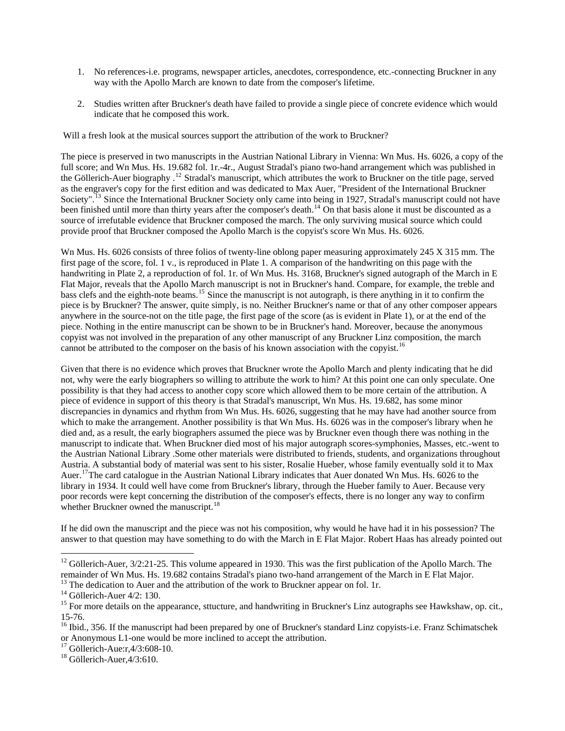- 1. No references-i.e. programs, newspaper articles, anecdotes, correspondence, etc.-connecting Bruckner in any way with the Apollo March are known to date from the composer's lifetime.
- 2. Studies written after Bruckner's death have failed to provide a single piece of concrete evidence which would indicate that he composed this work.

Will a fresh look at the musical sources support the attribution of the work to Bruckner?

The piece is preserved in two manuscripts in the Austrian National Library in Vienna: Wn Mus. Hs. 6026, a copy of the full score; and Wn Mus. Hs. 19.682 fol. 1r.-4r., August Stradal's piano two-hand arrangement which was published in the Göllerich-Auer biography .<sup>[12](#page-1-0)</sup> Stradal's manuscript, which attributes the work to Bruckner on the title page, served as the engraver's copy for the first edition and was dedicated to Max Auer, "President of the International Bruckner Society".<sup>[13](#page-1-1)</sup> Since the International Bruckner Society only came into being in 1927, Stradal's manuscript could not have been finished until more than thirty years after the composer's death.<sup>[14](#page-1-2)</sup> On that basis alone it must be discounted as a source of irrefutable evidence that Bruckner composed the march. The only surviving musical source which could provide proof that Bruckner composed the Apollo March is the copyist's score Wn Mus. Hs. 6026.

Wn Mus. Hs. 6026 consists of three folios of twenty-line oblong paper measuring approximately 245 X 315 mm. The first page of the score, fol. 1 v., is reproduced in Plate 1. A comparison of the handwriting on this page with the handwriting in Plate 2, a reproduction of fol. 1r. of Wn Mus. Hs. 3168, Bruckner's signed autograph of the March in E Flat Major, reveals that the Apollo March manuscript is not in Bruckner's hand. Compare, for example, the treble and bass clefs and the eighth-note beams.<sup>[15](#page-1-3)</sup> Since the manuscript is not autograph, is there anything in it to confirm the piece is by Bruckner? The answer, quite simply, is no. Neither Bruckner's name or that of any other composer appears anywhere in the source-not on the title page, the first page of the score (as is evident in Plate 1), or at the end of the piece. Nothing in the entire manuscript can be shown to be in Bruckner's hand. Moreover, because the anonymous copyist was not involved in the preparation of any other manuscript of any Bruckner Linz composition, the march cannot be attributed to the composer on the basis of his known association with the copyist.<sup>[16](#page-1-4)</sup>

Given that there is no evidence which proves that Bruckner wrote the Apollo March and plenty indicating that he did not, why were the early biographers so willing to attribute the work to him? At this point one can only speculate. One possibility is that they had access to another copy score which allowed them to be more certain of the attribution. A piece of evidence in support of this theory is that Stradal's manuscript, Wn Mus. Hs. 19.682, has some minor discrepancies in dynamics and rhythm from Wn Mus. Hs. 6026, suggesting that he may have had another source from which to make the arrangement. Another possibility is that Wn Mus. Hs. 6026 was in the composer's library when he died and, as a result, the early biographers assumed the piece was by Bruckner even though there was nothing in the manuscript to indicate that. When Bruckner died most of his major autograph scores-symphonies, Masses, etc.-went to the Austrian National Library .Some other materials were distributed to friends, students, and organizations throughout Austria. A substantial body of material was sent to his sister, Rosalie Hueber, whose family eventually sold it to Max Auer.<sup>[17](#page-1-5)</sup>The card catalogue in the Austrian National Library indicates that Auer donated Wn Mus. Hs. 6026 to the library in 1934. It could well have come from Bruckner's library, through the Hueber family to Auer. Because very poor records were kept concerning the distribution of the composer's effects, there is no longer any way to confirm whether Bruckner owned the manuscript.<sup>[18](#page-1-6)</sup>

If he did own the manuscript and the piece was not his composition, why would he have had it in his possession? The answer to that question may have something to do with the March in E Flat Major. Robert Haas has already pointed out

1

<span id="page-1-0"></span> $12$  Göllerich-Auer, 3/2:21-25. This volume appeared in 1930. This was the first publication of the Apollo March. The remainder of Wn Mus. Hs. 19.682 contains Stradal's piano two-hand arrangement of the March in E Flat Major.

<span id="page-1-1"></span><sup>&</sup>lt;sup>13</sup> The dedication to Auer and the attribution of the work to Bruckner appear on fol. 1r. <sup>14</sup> Göllerich-Auer 4/2: 130.

<span id="page-1-3"></span><span id="page-1-2"></span><sup>&</sup>lt;sup>15</sup> For more details on the appearance, sttucture, and handwriting in Bruckner's Linz autographs see Hawkshaw, op. cit., 15-76.

<span id="page-1-4"></span> $16$  Ibid., 356. If the manuscript had been prepared by one of Bruckner's standard Linz copyists-i.e. Franz Schimatschek or Anonymous L1-one would be more inclined to accept the attribution. 17 Göllerich-Aue:r,4/3:608-10.

<span id="page-1-6"></span><span id="page-1-5"></span><sup>&</sup>lt;sup>18</sup> Göllerich-Auer, 4/3:610.